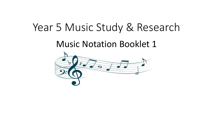# Year 5 Music Study & Research

Music Notation Booklet 1

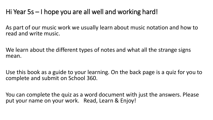### Hi Year 5s – I hope you are all well and working hard!

As part of our music work we usually learn about music notation and how to read and write music.

We learn about the different types of notes and what all the strange signs mean.

Use this book as a guide to your learning. On the back page is a quiz for you to complete and submit on School 360.

You can complete the quiz as a word document with just the answers. Please put your name on your work. Read, Learn & Enjoy!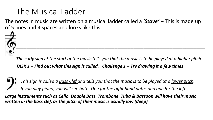# The Musical Ladder

The notes in music are written on a musical ladder called a *'Stave' –* This is made up of 5 lines and 4 spaces and looks like this:



*The curly sign at the start of the music tells you that the music is to be played at a higher pitch. TASK 1 – Find out what this sign is called. Challenge 1 – Try drawing it a few times*

*This sign is called a Bass Clef and tells you that the music is to be played at a lower pitch. If you play piano, you will see both. One for the right hand notes and one for the left.*

*Large instruments such as Cello, Double Bass, Trombone, Tuba & Bassoon will have their music written in the bass clef, as the pitch of their music is usually low (deep)*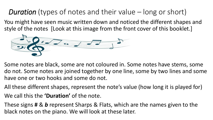# *Duration* (types of notes and their value – long or short)

You might have seen music written down and noticed the different shapes and style of the notes [Look at this image from the front cover of this booklet.]



Some notes are black, some are not coloured in. Some notes have stems, some do not. Some notes are joined together by one line, some by two lines and some have one or two hooks and some do not.

All these different shapes, represent the note's value (how long it is played for)

We call this the **'Duration'** of the note.

These signs **#** & *b* represent Sharps & Flats, which are the names given to the black notes on the piano. We will look at these later.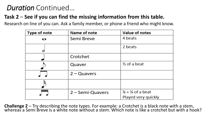#### *Duration* Continued…

#### **Task 2** – **See if you can find the missing information from this table.**

Research on line of you can. Ask a family member, or phone a friend who might know.

| Type of note | Name of note       | Value of notes                          |
|--------------|--------------------|-----------------------------------------|
| ഹ            | Semi Breve         | 4 beats                                 |
|              |                    | 2 beats                                 |
|              | Crotchet           |                                         |
|              | Quaver             | $\frac{1}{2}$ of a beat                 |
|              | $2 - Quavers$      |                                         |
|              |                    |                                         |
|              | $2 -$ Semi-Quavers | $\frac{1}{4}$ + $\frac{1}{4}$ of a beat |
|              |                    | Played very quickly                     |

**Challenge 2** – Try describing the note types. For example: a Crotchet is a black note with a stem, whereas a Semi Breve is a white note without a stem. Which note is like a crotchet but with a hook?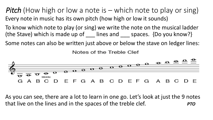*Pitch* (How high or low a note is – which note to play or sing) Every note in music has its own pitch (how high or low it sounds)

To know which note to play (or sing) we write the note on the musical ladder (the Stave) which is made up of lines and spaces. {Do you know?}

Some notes can also be written just above or below the stave on ledger lines:

Notes of the Treble Clef



As you can see, there are a lot to learn in one go. Let's look at just the 9 notes that live on the lines and in the spaces of the treble clef. *PTO*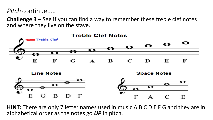*Pitch* continued…

**Challenge 3 –** See if you can find a way to remember these treble clef notes and where they live on the stave.



**HINT:** There are only 7 letter names used in music A B C D E F G and they are in alphabetical order as the notes go *UP* in pitch.